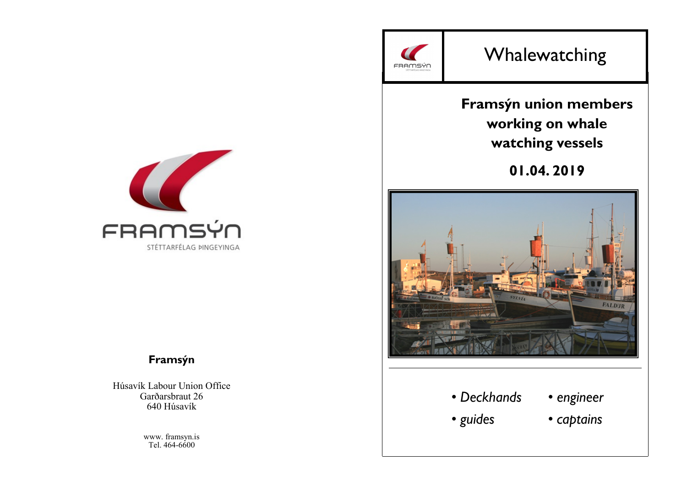

# Whalewatching

# **Framsýn union members working on whale watching vessels**

**01.04. 2019**



# • *Deckhands*

- *engineer*
- *guides*
- *captains*



# **Framsýn**

Húsavík Labour Union Office Garðarsbraut 26 640 Húsavík

> www. framsyn.is Tel. 464-6600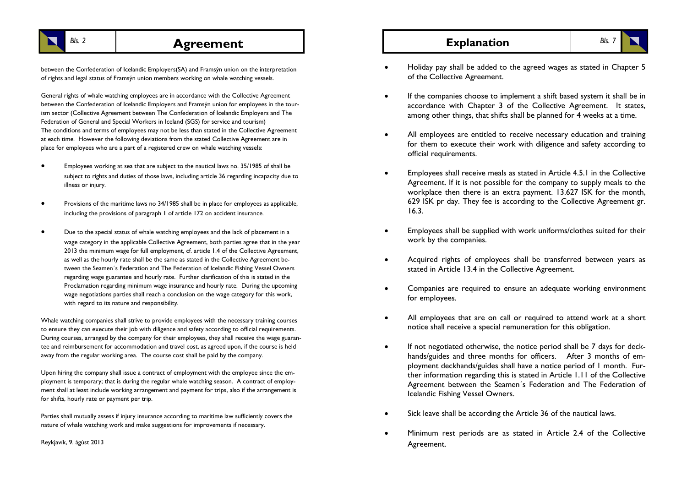

# **Bls. 2 Explanation Explanation Bls. 7 Explanation Bls. 7**

between the Confederation of Icelandic Employers(SA) and Framsýn union on the interpretation of rights and legal status of Framsýn union members working on whale watching vessels.

General rights of whale watching employees are in accordance with the Collective Agreement between the Confederation of Icelandic Employers and Framsýn union for employees in the tourism sector (Collective Agreement between The Confederation of Icelandic Employers and The Federation of General and Special Workers in Iceland (SGS) for service and tourism) The conditions and terms of employees may not be less than stated in the Collective Agreement at each time. However the following deviations from the stated Collective Agreement are in place for employees who are a part of a registered crew on whale watching vessels:

- Employees working at sea that are subject to the nautical laws no. 35/1985 of shall be subject to rights and duties of those laws, including article 36 regarding incapacity due to illness or injury.
- Provisions of the maritime laws no 34/1985 shall be in place for employees as applicable, including the provisions of paragraph 1 of article 172 on accident insurance.
- Due to the special status of whale watching employees and the lack of placement in a wage category in the applicable Collective Agreement, both parties agree that in the year 2013 the minimum wage for full employment, cf. article 1.4 of the Collective Agreement, as well as the hourly rate shall be the same as stated in the Collective Agreement between the Seamen´s Federation and The Federation of Icelandic Fishing Vessel Owners regarding wage guarantee and hourly rate. Further clarification of this is stated in the Proclamation regarding minimum wage insurance and hourly rate. During the upcoming wage negotiations parties shall reach a conclusion on the wage category for this work, with regard to its nature and responsibility.

Whale watching companies shall strive to provide employees with the necessary training courses to ensure they can execute their job with diligence and safety according to official requirements. During courses, arranged by the company for their employees, they shall receive the wage guarantee and reimbursement for accommodation and travel cost, as agreed upon, if the course is held away from the regular working area. The course cost shall be paid by the company.

Upon hiring the company shall issue a contract of employment with the employee since the employment is temporary; that is during the regular whale watching season. A contract of employment shall at least include working arrangement and payment for trips, also if the arrangement is for shifts, hourly rate or payment per trip.

Parties shall mutually assess if injury insurance according to maritime law sufficiently covers the nature of whale watching work and make suggestions for improvements if necessary.

Reykjavík, 9. ágúst 2013

- Holiday pay shall be added to the agreed wages as stated in Chapter 5 of the Collective Agreement.
- If the companies choose to implement a shift based system it shall be in accordance with Chapter 3 of the Collective Agreement. It states, among other things, that shifts shall be planned for 4 weeks at a time.
- All employees are entitled to receive necessary education and training for them to execute their work with diligence and safety according to official requirements.
- Employees shall receive meals as stated in Article 4.5.1 in the Collective Agreement. If it is not possible for the company to supply meals to the workplace then there is an extra payment. 13.627 ISK for the month, 629 ISK pr day. They fee is according to the Collective Agreement gr. 16.3.
- Employees shall be supplied with work uniforms/clothes suited for their work by the companies.
- Acquired rights of employees shall be transferred between years as stated in Article 13.4 in the Collective Agreement.
- Companies are required to ensure an adequate working environment for employees.
- All employees that are on call or required to attend work at a short notice shall receive a special remuneration for this obligation.
- If not negotiated otherwise, the notice period shall be 7 days for deckhands/guides and three months for officers. After 3 months of employment deckhands/guides shall have a notice period of 1 month. Further information regarding this is stated in Article 1.11 of the Collective Agreement between the Seamen´s Federation and The Federation of Icelandic Fishing Vessel Owners.
- Sick leave shall be according the Article 36 of the nautical laws.
- Minimum rest periods are as stated in Article 2.4 of the Collective Agreement.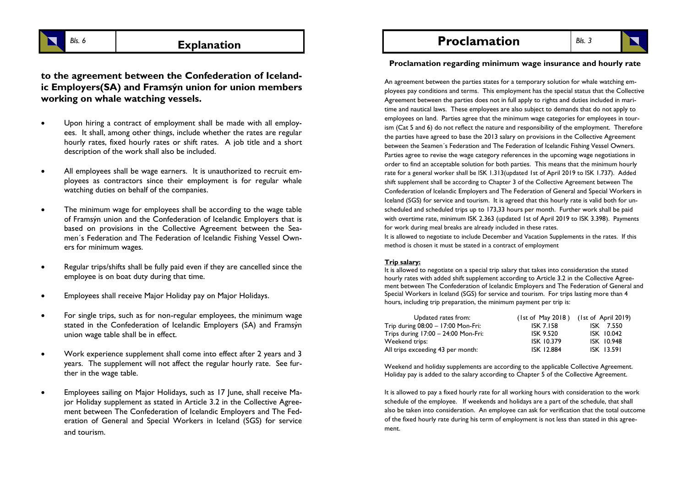**to the agreement between the Confederation of Icelandic Employers(SA) and Framsýn union for union members working on whale watching vessels.**

- Upon hiring a contract of employment shall be made with all employees. It shall, among other things, include whether the rates are regular hourly rates, fixed hourly rates or shift rates. A job title and a short description of the work shall also be included.
- All employees shall be wage earners. It is unauthorized to recruit employees as contractors since their employment is for regular whale watching duties on behalf of the companies.
- The minimum wage for employees shall be according to the wage table of Framsýn union and the Confederation of Icelandic Employers that is based on provisions in the Collective Agreement between the Seamen´s Federation and The Federation of Icelandic Fishing Vessel Owners for minimum wages.
- Regular trips/shifts shall be fully paid even if they are cancelled since the employee is on boat duty during that time.
- Employees shall receive Major Holiday pay on Major Holidays.
- For single trips, such as for non-regular employees, the minimum wage stated in the Confederation of Icelandic Employers (SA) and Framsýn union wage table shall be in effect.
- Work experience supplement shall come into effect after 2 years and 3 years. The supplement will not affect the regular hourly rate. See further in the wage table.
- Employees sailing on Major Holidays, such as 17 June, shall receive Major Holiday supplement as stated in Article 3.2 in the Collective Agreement between The Confederation of Icelandic Employers and The Federation of General and Special Workers in Iceland (SGS) for service and tourism.

**Proclamation** 

*Bls. 3*

**Proclamation regarding minimum wage insurance and hourly rate**

An agreement between the parties states for a temporary solution for whale watching employees pay conditions and terms. This employment has the special status that the Collective Agreement between the parties does not in full apply to rights and duties included in maritime and nautical laws. These employees are also subject to demands that do not apply to employees on land. Parties agree that the minimum wage categories for employees in tourism (Cat 5 and 6) do not reflect the nature and responsibility of the employment. Therefore the parties have agreed to base the 2013 salary on provisions in the Collective Agreement between the Seamen´s Federation and The Federation of Icelandic Fishing Vessel Owners. Parties agree to revise the wage category references in the upcoming wage negotiations in order to find an acceptable solution for both parties. This means that the minimum hourly rate for a general worker shall be ISK 1.313(updated 1st of April 2019 to ISK 1.737). Added shift supplement shall be according to Chapter 3 of the Collective Agreement between The Confederation of Icelandic Employers and The Federation of General and Special Workers in Iceland (SGS) for service and tourism. It is agreed that this hourly rate is valid both for unscheduled and scheduled trips up to 173,33 hours per month. Further work shall be paid with overtime rate, minimum ISK 2.363 (updated 1st of April 2019 to ISK 3.398). Payments for work during meal breaks are already included in these rates.

It is allowed to negotiate to include December and Vacation Supplements in the rates. If this method is chosen it must be stated in a contract of employment

#### **Trip salary:**

It is allowed to negotiate on a special trip salary that takes into consideration the stated hourly rates with added shift supplement according to Article 3.2 in the Collective Agreement between The Confederation of Icelandic Employers and The Federation of General and Special Workers in Iceland (SGS) for service and tourism. For trips lasting more than 4 hours, including trip preparation, the minimum payment per trip is:

| Updated rates from:                   |                   | $(1st of May 2018)$ $(1st of April 2019)$ |
|---------------------------------------|-------------------|-------------------------------------------|
| Trip during $08:00 - 17:00$ Mon-Fri:  | <b>ISK 7.158</b>  | ISK 7.550                                 |
| Trips during $17:00 - 24:00$ Mon-Fri: | ISK 9.520         | ISK 10.042                                |
| Weekend trips:                        | ISK 10.379        | ISK 10.948                                |
| All trips exceeding 43 per month:     | <b>ISK 12.884</b> | ISK 13.591                                |

Weekend and holiday supplements are according to the applicable Collective Agreement. Holiday pay is added to the salary according to Chapter 5 of the Collective Agreement.

It is allowed to pay a fixed hourly rate for all working hours with consideration to the work schedule of the employee. If weekends and holidays are a part of the schedule, that shall also be taken into consideration. An employee can ask for verification that the total outcome of the fixed hourly rate during his term of employment is not less than stated in this agreement.